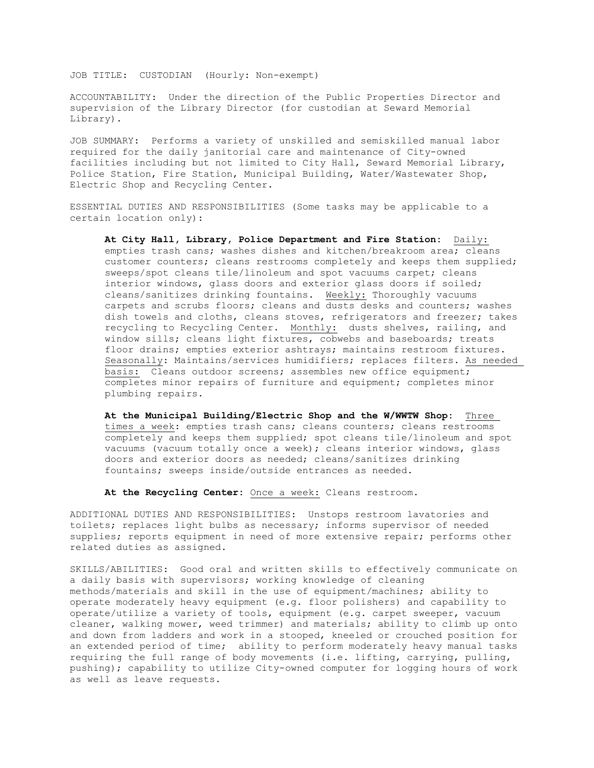JOB TITLE: CUSTODIAN (Hourly: Non-exempt)

ACCOUNTABILITY: Under the direction of the Public Properties Director and supervision of the Library Director (for custodian at Seward Memorial Library).

JOB SUMMARY: Performs a variety of unskilled and semiskilled manual labor required for the daily janitorial care and maintenance of City-owned facilities including but not limited to City Hall, Seward Memorial Library, Police Station, Fire Station, Municipal Building, Water/Wastewater Shop, Electric Shop and Recycling Center.

ESSENTIAL DUTIES AND RESPONSIBILITIES (Some tasks may be applicable to a certain location only):

**At City Hall, Library, Police Department and Fire Station:** Daily: empties trash cans; washes dishes and kitchen/breakroom area; cleans customer counters; cleans restrooms completely and keeps them supplied; sweeps/spot cleans tile/linoleum and spot vacuums carpet; cleans interior windows, glass doors and exterior glass doors if soiled; cleans/sanitizes drinking fountains. Weekly: Thoroughly vacuums carpets and scrubs floors; cleans and dusts desks and counters; washes dish towels and cloths, cleans stoves, refrigerators and freezer; takes recycling to Recycling Center. Monthly: dusts shelves, railing, and window sills; cleans light fixtures, cobwebs and baseboards; treats floor drains; empties exterior ashtrays; maintains restroom fixtures. Seasonally: Maintains/services humidifiers; replaces filters. As needed basis: Cleans outdoor screens; assembles new office equipment; completes minor repairs of furniture and equipment; completes minor plumbing repairs.

**At the Municipal Building/Electric Shop and the W/WWTW Shop:** Three times a week: empties trash cans; cleans counters; cleans restrooms completely and keeps them supplied; spot cleans tile/linoleum and spot vacuums (vacuum totally once a week); cleans interior windows, glass doors and exterior doors as needed; cleans/sanitizes drinking fountains; sweeps inside/outside entrances as needed.

**At the Recycling Center:** Once a week: Cleans restroom.

ADDITIONAL DUTIES AND RESPONSIBILITIES: Unstops restroom lavatories and toilets; replaces light bulbs as necessary; informs supervisor of needed supplies; reports equipment in need of more extensive repair; performs other related duties as assigned.

SKILLS/ABILITIES: Good oral and written skills to effectively communicate on a daily basis with supervisors; working knowledge of cleaning methods/materials and skill in the use of equipment/machines; ability to operate moderately heavy equipment (e.g. floor polishers) and capability to operate/utilize a variety of tools, equipment (e.g. carpet sweeper, vacuum cleaner, walking mower, weed trimmer) and materials; ability to climb up onto and down from ladders and work in a stooped, kneeled or crouched position for an extended period of time; ability to perform moderately heavy manual tasks requiring the full range of body movements (i.e. lifting, carrying, pulling, pushing); capability to utilize City-owned computer for logging hours of work as well as leave requests.